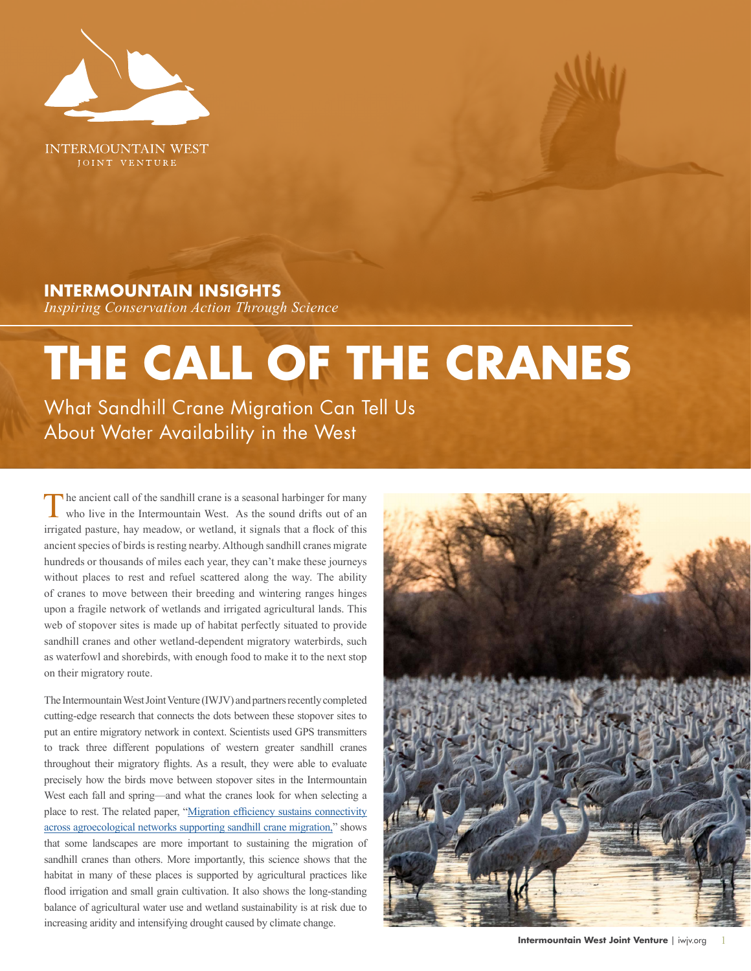

**INTERMOUNTAIN WEST** JOINT VENTURE

### **INTERMOUNTAIN INSIGHTS**

*Inspiring Conservation Action Through Science*

# **THE CALL OF THE CRANES**

What Sandhill Crane Migration Can Tell Us About Water Availability in the West

The ancient call of the sandhill crane is a seasonal harbinger for many who live in the Intermountain West. As the sound drifts out of an irrigated pasture, hay meadow, or wetland, it signals that a flock of this ancient species of birds is resting nearby. Although sandhill cranes migrate hundreds or thousands of miles each year, they can't make these journeys without places to rest and refuel scattered along the way. The ability of cranes to move between their breeding and wintering ranges hinges upon a fragile network of wetlands and irrigated agricultural lands. This web of stopover sites is made up of habitat perfectly situated to provide sandhill cranes and other wetland-dependent migratory waterbirds, such as waterfowl and shorebirds, with enough food to make it to the next stop on their migratory route.

The Intermountain West Joint Venture (IWJV) and partners recently completed cutting-edge research that connects the dots between these stopover sites to put an entire migratory network in context. Scientists used GPS transmitters to track three different populations of western greater sandhill cranes throughout their migratory flights. As a result, they were able to evaluate precisely how the birds move between stopover sites in the Intermountain West each fall and spring—and what the cranes look for when selecting a place to rest. The related paper, "[Migration efficiency sustains connectivity](https://esajournals.onlinelibrary.wiley.com/doi/10.1002/ecs2.3543) [across agroecological networks supporting sandhill crane migration,](https://esajournals.onlinelibrary.wiley.com/doi/10.1002/ecs2.3543)" shows that some landscapes are more important to sustaining the migration of sandhill cranes than others. More importantly, this science shows that the habitat in many of these places is supported by agricultural practices like flood irrigation and small grain cultivation. It also shows the long-standing balance of agricultural water use and wetland sustainability is at risk due to increasing aridity and intensifying drought caused by climate change.

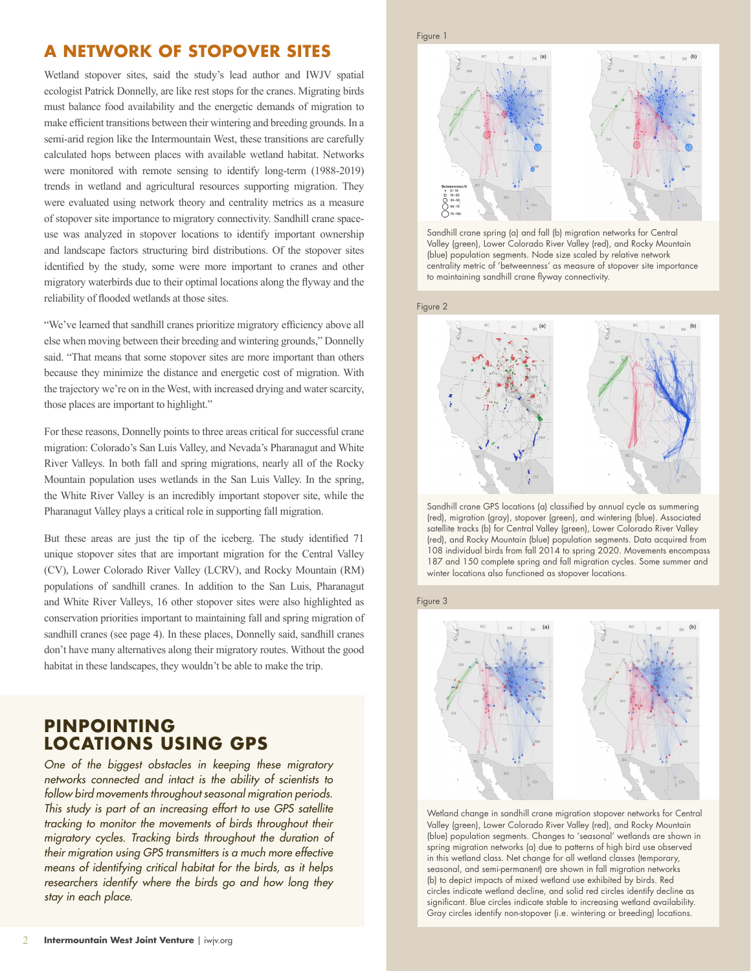# **A NETWORK OF STOPOVER SITES**

Wetland stopover sites, said the study's lead author and IWJV spatial ecologist Patrick Donnelly, are like rest stops for the cranes. Migrating birds must balance food availability and the energetic demands of migration to make efficient transitions between their wintering and breeding grounds. In a semi-arid region like the Intermountain West, these transitions are carefully calculated hops between places with available wetland habitat. Networks were monitored with remote sensing to identify long-term (1988-2019) trends in wetland and agricultural resources supporting migration. They were evaluated using network theory and centrality metrics as a measure of stopover site importance to migratory connectivity. Sandhill crane spaceuse was analyzed in stopover locations to identify important ownership and landscape factors structuring bird distributions. Of the stopover sites identified by the study, some were more important to cranes and other migratory waterbirds due to their optimal locations along the flyway and the reliability of flooded wetlands at those sites.

"We've learned that sandhill cranes prioritize migratory efficiency above all else when moving between their breeding and wintering grounds," Donnelly said. "That means that some stopover sites are more important than others because they minimize the distance and energetic cost of migration. With the trajectory we're on in the West, with increased drying and water scarcity, those places are important to highlight."

For these reasons, Donnelly points to three areas critical for successful crane migration: Colorado's San Luis Valley, and Nevada's Pharanagut and White River Valleys. In both fall and spring migrations, nearly all of the Rocky Mountain population uses wetlands in the San Luis Valley. In the spring, the White River Valley is an incredibly important stopover site, while the Pharanagut Valley plays a critical role in supporting fall migration.

But these areas are just the tip of the iceberg. The study identified 71 unique stopover sites that are important migration for the Central Valley (CV), Lower Colorado River Valley (LCRV), and Rocky Mountain (RM) populations of sandhill cranes. In addition to the San Luis, Pharanagut and White River Valleys, 16 other stopover sites were also highlighted as conservation priorities important to maintaining fall and spring migration of sandhill cranes (see page 4). In these places, Donnelly said, sandhill cranes don't have many alternatives along their migratory routes. Without the good habitat in these landscapes, they wouldn't be able to make the trip.

# **PINPOINTING LOCATIONS USING GPS**

*One of the biggest obstacles in keeping these migratory networks connected and intact is the ability of scientists to follow bird movements throughout seasonal migration periods. This study is part of an increasing effort to use GPS satellite*  tracking to monitor the movements of birds throughout their *migratory cycles. Tracking birds throughout the duration of their migration using GPS transmitters is a much more effective means of identifying critical habitat for the birds, as it helps researchers identify where the birds go and how long they stay in each place.* 





Sandhill crane spring (a) and fall (b) migration networks for Central Valley (green), Lower Colorado River Valley (red), and Rocky Mountain (blue) population segments. Node size scaled by relative network centrality metric of 'betweenness' as measure of stopover site importance to maintaining sandhill crane flyway connectivity.



Sandhill crane GPS locations (a) classified by annual cycle as summering (red), migration (gray), stopover (green), and wintering (blue). Associated satellite tracks (b) for Central Valley (green), Lower Colorado River Valley (red), and Rocky Mountain (blue) population segments. Data acquired from 108 individual birds from fall 2014 to spring 2020. Movements encompass 187 and 150 complete spring and fall migration cycles. Some summer and winter locations also functioned as stopover locations.

Figure 3



Wetland change in sandhill crane migration stopover networks for Central Valley (green), Lower Colorado River Valley (red), and Rocky Mountain (blue) population segments. Changes to 'seasonal' wetlands are shown in spring migration networks (a) due to patterns of high bird use observed in this wetland class. Net change for all wetland classes (temporary, seasonal, and semi-permanent) are shown in fall migration networks (b) to depict impacts of mixed wetland use exhibited by birds. Red circles indicate wetland decline, and solid red circles identify decline as significant. Blue circles indicate stable to increasing wetland availability. Gray circles identify non-stopover (i.e. wintering or breeding) locations.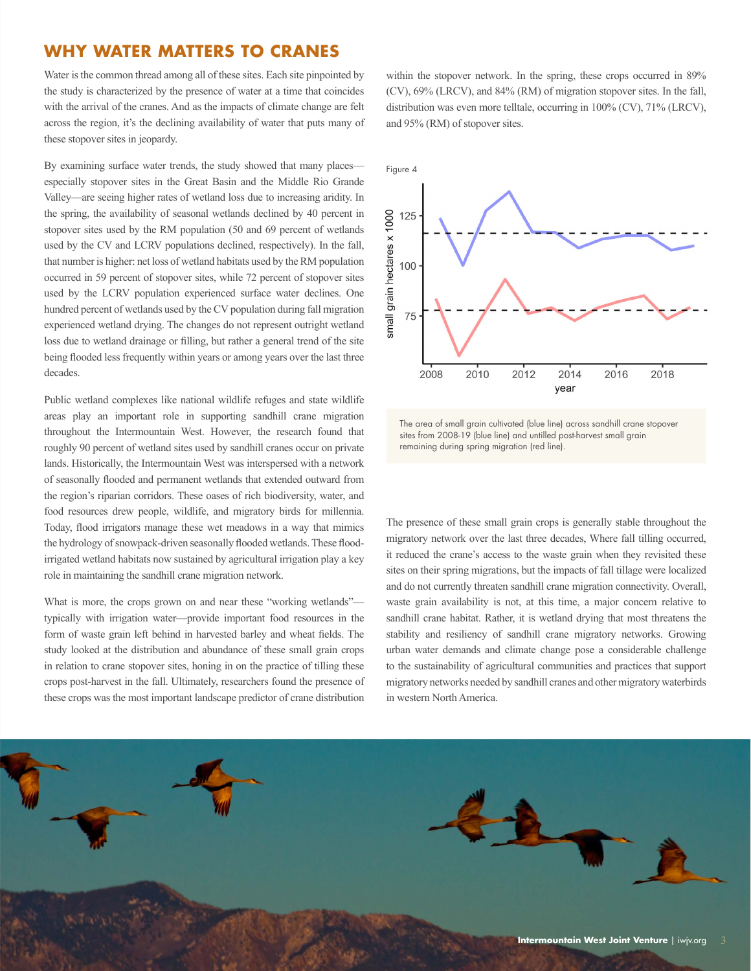### **WHY WATER MATTERS TO CRANES**

Water is the common thread among all of these sites. Each site pinpointed by the study is characterized by the presence of water at a time that coincides with the arrival of the cranes. And as the impacts of climate change are felt across the region, it's the declining availability of water that puts many of these stopover sites in jeopardy.

By examining surface water trends, the study showed that many places especially stopover sites in the Great Basin and the Middle Rio Grande Valley—are seeing higher rates of wetland loss due to increasing aridity. In the spring, the availability of seasonal wetlands declined by 40 percent in stopover sites used by the RM population (50 and 69 percent of wetlands used by the CV and LCRV populations declined, respectively). In the fall, that number is higher: net loss of wetland habitats used by the RM population occurred in 59 percent of stopover sites, while 72 percent of stopover sites used by the LCRV population experienced surface water declines. One hundred percent of wetlands used by the CV population during fall migration experienced wetland drying. The changes do not represent outright wetland loss due to wetland drainage or filling, but rather a general trend of the site being flooded less frequently within years or among years over the last three decades.

Public wetland complexes like national wildlife refuges and state wildlife areas play an important role in supporting sandhill crane migration throughout the Intermountain West. However, the research found that roughly 90 percent of wetland sites used by sandhill cranes occur on private lands. Historically, the Intermountain West was interspersed with a network of seasonally flooded and permanent wetlands that extended outward from the region's riparian corridors. These oases of rich biodiversity, water, and food resources drew people, wildlife, and migratory birds for millennia. Today, flood irrigators manage these wet meadows in a way that mimics the hydrology of snowpack-driven seasonally flooded wetlands. These floodirrigated wetland habitats now sustained by agricultural irrigation play a key role in maintaining the sandhill crane migration network.

What is more, the crops grown on and near these "working wetlands" typically with irrigation water—provide important food resources in the form of waste grain left behind in harvested barley and wheat fields. The study looked at the distribution and abundance of these small grain crops in relation to crane stopover sites, honing in on the practice of tilling these crops post-harvest in the fall. Ultimately, researchers found the presence of these crops was the most important landscape predictor of crane distribution

within the stopover network. In the spring, these crops occurred in  $89\%$ (CV), 69% (LRCV), and 84% (RM) of migration stopover sites. In the fall, distribution was even more telltale, occurring in 100% (CV), 71% (LRCV), and 95% (RM) of stopover sites.



The area of small grain cultivated (blue line) across sandhill crane stopover sites from 2008-19 (blue line) and untilled post-harvest small grain remaining during spring migration (red line).

The presence of these small grain crops is generally stable throughout the migratory network over the last three decades, Where fall tilling occurred, it reduced the crane's access to the waste grain when they revisited these sites on their spring migrations, but the impacts of fall tillage were localized and do not currently threaten sandhill crane migration connectivity. Overall, waste grain availability is not, at this time, a major concern relative to sandhill crane habitat. Rather, it is wetland drying that most threatens the stability and resiliency of sandhill crane migratory networks. Growing urban water demands and climate change pose a considerable challenge to the sustainability of agricultural communities and practices that support migratory networks needed by sandhill cranes and other migratory waterbirds in western North America.